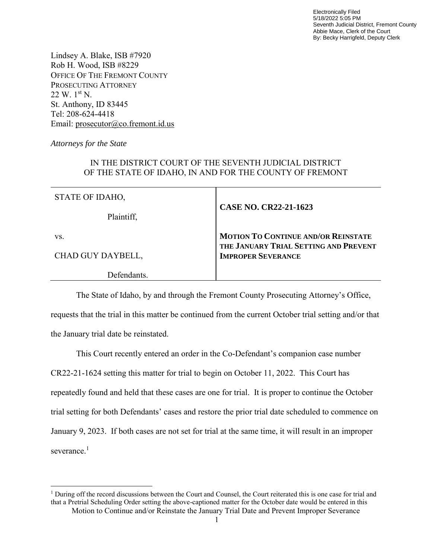Electronically Filed 5/18/2022 5:05 PM Seventh Judicial District, Fremont County Abbie Mace, Clerk of the Court By: Becky Harrigfeld, Deputy Clerk

Lindsey A. Blake, ISB #7920 Rob H. Wood, ISB #8229 OFFICE OF THE FREMONT COUNTY PROSECUTING ATTORNEY 22 W. 1st N. St. Anthony, ID 83445 Tel: 208-624-4418 Email: [prosecutor@co.fremont.id.us](mailto:prosecutor@co.fremont.id.us)

*Attorneys for the State*

 $\overline{\phantom{a}}$ 

## IN THE DISTRICT COURT OF THE SEVENTH JUDICIAL DISTRICT OF THE STATE OF IDAHO, IN AND FOR THE COUNTY OF FREMONT

| STATE OF IDAHO,   |                                                                                     |
|-------------------|-------------------------------------------------------------------------------------|
| Plaintiff,        | <b>CASE NO. CR22-21-1623</b>                                                        |
| VS.               | <b>MOTION TO CONTINUE AND/OR REINSTATE</b><br>THE JANUARY TRIAL SETTING AND PREVENT |
| CHAD GUY DAYBELL, | <b>IMPROPER SEVERANCE</b>                                                           |
| Defendants        |                                                                                     |

The State of Idaho, by and through the Fremont County Prosecuting Attorney's Office, requests that the trial in this matter be continued from the current October trial setting and/or that the January trial date be reinstated.

This Court recently entered an order in the Co-Defendant's companion case number CR22-21-1624 setting this matter for trial to begin on October 11, 2022. This Court has repeatedly found and held that these cases are one for trial. It is proper to continue the October trial setting for both Defendants' cases and restore the prior trial date scheduled to commence on January 9, 2023. If both cases are not set for trial at the same time, it will result in an improper severance.<sup>1</sup>

Motion to Continue and/or Reinstate the January Trial Date and Prevent Improper Severance <sup>1</sup> During off the record discussions between the Court and Counsel, the Court reiterated this is one case for trial and that a Pretrial Scheduling Order setting the above-captioned matter for the October date would be entered in this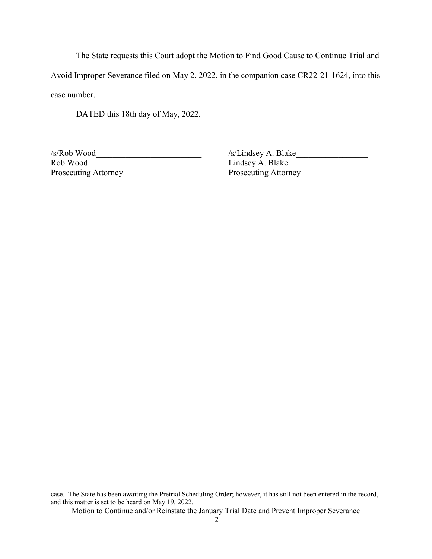The State requests this Court adopt the Motion to Find Good Cause to Continue Trial and Avoid Improper Severance filed on May 2, 2022, in the companion case CR22-21-1624, into this case number.

DATED this 18th day of May, 2022.

Rob Wood Lindsey A. Blake Prosecuting Attorney Prosecuting Attorney

 $\overline{\phantom{a}}$ 

/s/Rob Wood\_\_\_\_\_\_\_\_\_\_\_\_\_\_\_\_\_\_\_\_\_\_\_\_\_ /s/Lindsey A. Blake\_\_\_\_\_\_\_\_\_\_\_\_\_\_\_\_\_

case. The State has been awaiting the Pretrial Scheduling Order; however, it has still not been entered in the record, and this matter is set to be heard on May 19, 2022.

Motion to Continue and/or Reinstate the January Trial Date and Prevent Improper Severance